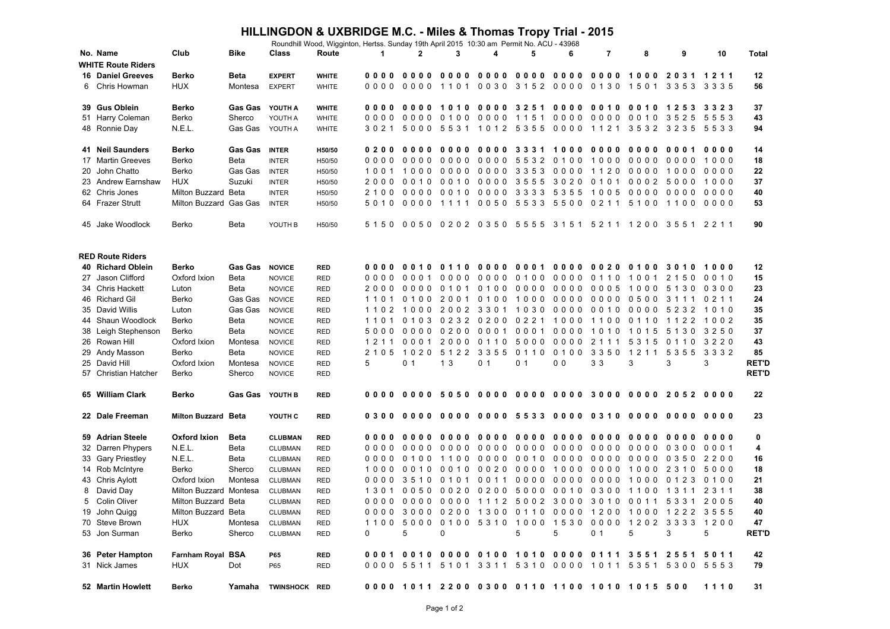## **HILLINGDON & UXBRIDGE M.C. - Miles & Thomas Tropy Trial - 2015**

| No. Name<br>Club<br>Bike<br>Class<br>Route<br>$\mathbf{2}$<br>3<br>7<br>8<br>9<br>10<br>1<br>4<br>5<br>6<br>Total<br><b>WHITE Route Riders</b><br><b>Berko</b><br><b>Beta</b><br>0000 0000 0000 0000 0000 0000 0000 1000 2031 1211<br>12<br><b>16 Daniel Greeves</b><br><b>EXPERT</b><br><b>WHITE</b><br>6 Chris Howman<br><b>HUX</b><br>0000 0000 1101 0030 3152 0000 0130 1501 3353 3335<br>56<br>Montesa<br><b>EXPERT</b><br><b>WHITE</b><br>39 Gus Oblein<br>Berko<br><b>Gas Gas</b><br>0000 1010 0000 3251 0000 0010 0010 1253 3323<br>37<br>YOUTH A<br>0000<br><b>WHITE</b><br>51 Harry Coleman<br>Berko<br>Sherco<br>YOUTH A<br>0000 0000 0100 0000 1151 0000 0000 0010 3525 5553<br>43<br><b>WHITE</b><br>3021 5000 5531 1012 5355 0000 1121 3532 3235 5533<br>N.E.L.<br>Gas Gas YOUTH A<br>94<br>48 Ronnie Day<br><b>WHITE</b><br>41 Neil Saunders<br><b>Berko</b><br><b>Gas Gas</b><br><b>INTER</b><br>14<br>H50/50<br>0000 0000 0000 0000 5532 0100 1000 0000 0000 1000<br>17 Martin Greeves<br>Berko<br>Beta<br>18<br><b>INTER</b><br>H50/50<br>0000 0000 3353 0000 1120<br>20 John Chatto<br>Berko<br>Gas Gas<br>0000 1000<br>0000<br>22<br><b>INTER</b><br>H50/50<br>1001 1000<br><b>HUX</b><br>2000 0010 0010 0000 3555 3020 0101 0002 5000 1000<br>23 Andrew Earnshaw<br>Suzuki<br>37<br><b>INTER</b><br>H50/50<br>Milton Buzzard Beta<br>40<br>62 Chris Jones<br><b>INTER</b><br>H50/50<br>5010 0000 1111 0050 5533 5500 0211 5100 1100 0000<br>64 Frazer Strutt<br>Milton Buzzard Gas Gas<br>53<br><b>INTER</b><br>H50/50<br>5150 0050 0202 0350 5555 3151 5211 1200 3551 2211<br>90<br>45 Jake Woodlock<br>Berko<br>Beta<br>YOUTH B<br>H50/50<br><b>RED Route Riders</b><br>40 Richard Oblein<br>Berko<br><b>Gas Gas</b><br>0000 0010 0110 0000 0001 0000 0020 0100 3010 1000<br><b>NOVICE</b><br>12<br><b>RED</b><br>27 Jason Clifford<br>Oxford Ixion<br>0000 0001<br>0000 0000 0100 0000 0110 1001 2150 0010<br>15<br>Beta<br><b>NOVICE</b><br><b>RED</b><br>34 Chris Hackett<br>Beta<br>2000 0000 0101 0100 0000 0000 0005 1000 5130 0300<br>23<br>Luton<br><b>NOVICE</b><br>RED<br>Gas Gas<br>1101 0100 2001 0100 1000 0000 0000 0500 3111 0211<br>46 Richard Gil<br>Berko<br>24<br><b>NOVICE</b><br><b>RED</b><br>35 David Willis<br>Luton<br>Gas Gas<br>1102 1000 2002 3301 1030 0000 0010 0000 5232 1010<br>35<br><b>NOVICE</b><br><b>RED</b><br>1101 0103 0232 0200 0221 1000 1100 0110 1122 1002<br>35<br>44 Shaun Woodlock<br>Berko<br>Beta<br><b>NOVICE</b><br>RED<br>38 Leigh Stephenson<br>Berko<br>5000 0000 0200 0001 0001 0000 1010 1015 5130 3250<br>37<br>Beta<br><b>NOVICE</b><br><b>RED</b><br>1211 0001 2000 0110 5000 0000 2111 5315 0110 3220<br>26 Rowan Hill<br>Oxford Ixion<br>43<br>Montesa<br><b>NOVICE</b><br>RED<br>29 Andy Masson<br>Berko<br>2105 1020 5122 3355 0110 0100 3350 1211 5355 3332<br>85<br>Beta<br><b>NOVICE</b><br><b>RED</b><br>5<br>0 <sub>1</sub><br>1 <sub>3</sub><br>0 <sub>1</sub><br>0 <sub>0</sub><br>33<br>3<br>3<br>3<br><b>RET'D</b><br>25 David Hill<br>Oxford Ixion<br>0 <sub>1</sub><br>Montesa<br><b>NOVICE</b><br><b>RED</b><br><b>RET'D</b><br>57 Christian Hatcher<br>Berko<br>Sherco<br><b>NOVICE</b><br>RED<br>65 William Clark<br><b>Berko</b><br><b>Gas Gas</b><br>0000 5050 0000 0000 0000 3000 0000 2052 0000<br>22<br>YOUTH B<br><b>RED</b><br>0000<br>23<br>22 Dale Freeman<br><b>Milton Buzzard Beta</b><br>YOUTH C<br><b>RED</b><br>Oxford Ixion<br>0000 0000 0000 0000 0000 0000<br>59 Adrian Steele<br><b>Beta</b><br><b>CLUBMAN</b><br>0000<br>0000<br>0000<br>0000<br>0<br><b>RED</b><br>0000 0000 0000 0000 0000 0000 0000 0000 0300 0001<br>32 Darren Phypers<br>N.E.L.<br>Beta<br><b>CLUBMAN</b><br><b>RED</b><br>4<br>N.E.L.<br>33 Gary Priestley<br>0100 1100 0000 0010 0000 0000 0000 0350 2200<br>16<br>Beta<br><b>CLUBMAN</b><br><b>RED</b><br>0000<br>14 Rob McIntyre<br>Berko<br>0010 0020 0000 1000 0000 1000 2310 5000<br>18<br>Sherco<br><b>CLUBMAN</b><br><b>RED</b><br>1000 0010<br>0000 3510 0101 0011 0000 0000 0000 1000 0123 0100<br>21<br>43 Chris Aylott<br>Oxford Ixion<br>Montesa<br><b>CLUBMAN</b><br><b>RED</b><br>David Day<br>1301 0050 0020 0200 5000 0010 0300 1100 1311 2311<br>38<br>Milton Buzzard Montesa<br>8<br><b>CLUBMAN</b><br>RED<br>0000 0000 0000 1112 5002 3000 3010 0011 5331 2005<br>40<br>5<br>Colin Oliver<br><b>Milton Buzzard Beta</b><br>CLUBMAN<br><b>RED</b><br>0000 3000 0200 1300 0110 0000 1200 1000 1222 3555<br>40<br>19 John Quigg<br>Milton Buzzard Beta<br>CLUBMAN<br>RED<br>70 Steve Brown<br><b>HUX</b><br>1100 5000 0100 5310 1000 1530 0000 1202 3333 1200<br>47<br>Montesa<br><b>CLUBMAN</b><br>RED<br>53 Jon Surman<br>$\Omega$<br>5<br>0<br>5<br>5<br>0 <sub>1</sub><br>5<br>5<br>Berko<br>Sherco<br>3<br><b>RET'D</b><br>CLUBMAN<br><b>RED</b><br>0001 0010 0000 0100 1010 0000 0111 3551 2551 5011<br>36 Peter Hampton<br>Farnham Royal BSA<br><b>RED</b><br>42<br><b>P65</b><br>0000 5511 5101 3311 5310 0000 1011 5351 5300 5553<br>31 Nick James<br>HUX<br><b>RED</b><br>Dot<br>P65<br>79<br>52 Martin Howlett<br>0000 1011 2200 0300 0110 1100 1010 1015 500<br>Berko<br>Yamaha TWINSHOCK RED<br>1110<br>31 |  |  | Roundhill Wood, Wigginton, Hertss. Sunday 19th April 2015 10:30 am Permit No. ACU - 43968 |  |  |  |  |  |  |  |  |  |  |  |  |
|---------------------------------------------------------------------------------------------------------------------------------------------------------------------------------------------------------------------------------------------------------------------------------------------------------------------------------------------------------------------------------------------------------------------------------------------------------------------------------------------------------------------------------------------------------------------------------------------------------------------------------------------------------------------------------------------------------------------------------------------------------------------------------------------------------------------------------------------------------------------------------------------------------------------------------------------------------------------------------------------------------------------------------------------------------------------------------------------------------------------------------------------------------------------------------------------------------------------------------------------------------------------------------------------------------------------------------------------------------------------------------------------------------------------------------------------------------------------------------------------------------------------------------------------------------------------------------------------------------------------------------------------------------------------------------------------------------------------------------------------------------------------------------------------------------------------------------------------------------------------------------------------------------------------------------------------------------------------------------------------------------------------------------------------------------------------------------------------------------------------------------------------------------------------------------------------------------------------------------------------------------------------------------------------------------------------------------------------------------------------------------------------------------------------------------------------------------------------------------------------------------------------------------------------------------------------------------------------------------------------------------------------------------------------------------------------------------------------------------------------------------------------------------------------------------------------------------------------------------------------------------------------------------------------------------------------------------------------------------------------------------------------------------------------------------------------------------------------------------------------------------------------------------------------------------------------------------------------------------------------------------------------------------------------------------------------------------------------------------------------------------------------------------------------------------------------------------------------------------------------------------------------------------------------------------------------------------------------------------------------------------------------------------------------------------------------------------------------------------------------------------------------------------------------------------------------------------------------------------------------------------------------------------------------------------------------------------------------------------------------------------------------------------------------------------------------------------------------------------------------------------------------------------------------------------------------------------------------------------------------------------------------------------------------------------------------------------------------------------------------------------------------------------------------------------------------------------------------------------------------------------------------------------------------------------------------------------------------------------------------------------------------------------------------------------------------------------------------------------------------------------------------------------------------------------------------------------------------------------------------------------------------------------------------------------------------------------------------------------------------------------------------------------------------------------------------------------------------------------------------------------------------------------------------------------------|--|--|-------------------------------------------------------------------------------------------|--|--|--|--|--|--|--|--|--|--|--|--|
|                                                                                                                                                                                                                                                                                                                                                                                                                                                                                                                                                                                                                                                                                                                                                                                                                                                                                                                                                                                                                                                                                                                                                                                                                                                                                                                                                                                                                                                                                                                                                                                                                                                                                                                                                                                                                                                                                                                                                                                                                                                                                                                                                                                                                                                                                                                                                                                                                                                                                                                                                                                                                                                                                                                                                                                                                                                                                                                                                                                                                                                                                                                                                                                                                                                                                                                                                                                                                                                                                                                                                                                                                                                                                                                                                                                                                                                                                                                                                                                                                                                                                                                                                                                                                                                                                                                                                                                                                                                                                                                                                                                                                                                                                                                                                                                                                                                                                                                                                                                                                                                                                                                                                                                       |  |  |                                                                                           |  |  |  |  |  |  |  |  |  |  |  |  |
|                                                                                                                                                                                                                                                                                                                                                                                                                                                                                                                                                                                                                                                                                                                                                                                                                                                                                                                                                                                                                                                                                                                                                                                                                                                                                                                                                                                                                                                                                                                                                                                                                                                                                                                                                                                                                                                                                                                                                                                                                                                                                                                                                                                                                                                                                                                                                                                                                                                                                                                                                                                                                                                                                                                                                                                                                                                                                                                                                                                                                                                                                                                                                                                                                                                                                                                                                                                                                                                                                                                                                                                                                                                                                                                                                                                                                                                                                                                                                                                                                                                                                                                                                                                                                                                                                                                                                                                                                                                                                                                                                                                                                                                                                                                                                                                                                                                                                                                                                                                                                                                                                                                                                                                       |  |  |                                                                                           |  |  |  |  |  |  |  |  |  |  |  |  |
|                                                                                                                                                                                                                                                                                                                                                                                                                                                                                                                                                                                                                                                                                                                                                                                                                                                                                                                                                                                                                                                                                                                                                                                                                                                                                                                                                                                                                                                                                                                                                                                                                                                                                                                                                                                                                                                                                                                                                                                                                                                                                                                                                                                                                                                                                                                                                                                                                                                                                                                                                                                                                                                                                                                                                                                                                                                                                                                                                                                                                                                                                                                                                                                                                                                                                                                                                                                                                                                                                                                                                                                                                                                                                                                                                                                                                                                                                                                                                                                                                                                                                                                                                                                                                                                                                                                                                                                                                                                                                                                                                                                                                                                                                                                                                                                                                                                                                                                                                                                                                                                                                                                                                                                       |  |  |                                                                                           |  |  |  |  |  |  |  |  |  |  |  |  |
|                                                                                                                                                                                                                                                                                                                                                                                                                                                                                                                                                                                                                                                                                                                                                                                                                                                                                                                                                                                                                                                                                                                                                                                                                                                                                                                                                                                                                                                                                                                                                                                                                                                                                                                                                                                                                                                                                                                                                                                                                                                                                                                                                                                                                                                                                                                                                                                                                                                                                                                                                                                                                                                                                                                                                                                                                                                                                                                                                                                                                                                                                                                                                                                                                                                                                                                                                                                                                                                                                                                                                                                                                                                                                                                                                                                                                                                                                                                                                                                                                                                                                                                                                                                                                                                                                                                                                                                                                                                                                                                                                                                                                                                                                                                                                                                                                                                                                                                                                                                                                                                                                                                                                                                       |  |  |                                                                                           |  |  |  |  |  |  |  |  |  |  |  |  |
|                                                                                                                                                                                                                                                                                                                                                                                                                                                                                                                                                                                                                                                                                                                                                                                                                                                                                                                                                                                                                                                                                                                                                                                                                                                                                                                                                                                                                                                                                                                                                                                                                                                                                                                                                                                                                                                                                                                                                                                                                                                                                                                                                                                                                                                                                                                                                                                                                                                                                                                                                                                                                                                                                                                                                                                                                                                                                                                                                                                                                                                                                                                                                                                                                                                                                                                                                                                                                                                                                                                                                                                                                                                                                                                                                                                                                                                                                                                                                                                                                                                                                                                                                                                                                                                                                                                                                                                                                                                                                                                                                                                                                                                                                                                                                                                                                                                                                                                                                                                                                                                                                                                                                                                       |  |  |                                                                                           |  |  |  |  |  |  |  |  |  |  |  |  |
|                                                                                                                                                                                                                                                                                                                                                                                                                                                                                                                                                                                                                                                                                                                                                                                                                                                                                                                                                                                                                                                                                                                                                                                                                                                                                                                                                                                                                                                                                                                                                                                                                                                                                                                                                                                                                                                                                                                                                                                                                                                                                                                                                                                                                                                                                                                                                                                                                                                                                                                                                                                                                                                                                                                                                                                                                                                                                                                                                                                                                                                                                                                                                                                                                                                                                                                                                                                                                                                                                                                                                                                                                                                                                                                                                                                                                                                                                                                                                                                                                                                                                                                                                                                                                                                                                                                                                                                                                                                                                                                                                                                                                                                                                                                                                                                                                                                                                                                                                                                                                                                                                                                                                                                       |  |  |                                                                                           |  |  |  |  |  |  |  |  |  |  |  |  |
|                                                                                                                                                                                                                                                                                                                                                                                                                                                                                                                                                                                                                                                                                                                                                                                                                                                                                                                                                                                                                                                                                                                                                                                                                                                                                                                                                                                                                                                                                                                                                                                                                                                                                                                                                                                                                                                                                                                                                                                                                                                                                                                                                                                                                                                                                                                                                                                                                                                                                                                                                                                                                                                                                                                                                                                                                                                                                                                                                                                                                                                                                                                                                                                                                                                                                                                                                                                                                                                                                                                                                                                                                                                                                                                                                                                                                                                                                                                                                                                                                                                                                                                                                                                                                                                                                                                                                                                                                                                                                                                                                                                                                                                                                                                                                                                                                                                                                                                                                                                                                                                                                                                                                                                       |  |  |                                                                                           |  |  |  |  |  |  |  |  |  |  |  |  |
|                                                                                                                                                                                                                                                                                                                                                                                                                                                                                                                                                                                                                                                                                                                                                                                                                                                                                                                                                                                                                                                                                                                                                                                                                                                                                                                                                                                                                                                                                                                                                                                                                                                                                                                                                                                                                                                                                                                                                                                                                                                                                                                                                                                                                                                                                                                                                                                                                                                                                                                                                                                                                                                                                                                                                                                                                                                                                                                                                                                                                                                                                                                                                                                                                                                                                                                                                                                                                                                                                                                                                                                                                                                                                                                                                                                                                                                                                                                                                                                                                                                                                                                                                                                                                                                                                                                                                                                                                                                                                                                                                                                                                                                                                                                                                                                                                                                                                                                                                                                                                                                                                                                                                                                       |  |  |                                                                                           |  |  |  |  |  |  |  |  |  |  |  |  |
|                                                                                                                                                                                                                                                                                                                                                                                                                                                                                                                                                                                                                                                                                                                                                                                                                                                                                                                                                                                                                                                                                                                                                                                                                                                                                                                                                                                                                                                                                                                                                                                                                                                                                                                                                                                                                                                                                                                                                                                                                                                                                                                                                                                                                                                                                                                                                                                                                                                                                                                                                                                                                                                                                                                                                                                                                                                                                                                                                                                                                                                                                                                                                                                                                                                                                                                                                                                                                                                                                                                                                                                                                                                                                                                                                                                                                                                                                                                                                                                                                                                                                                                                                                                                                                                                                                                                                                                                                                                                                                                                                                                                                                                                                                                                                                                                                                                                                                                                                                                                                                                                                                                                                                                       |  |  |                                                                                           |  |  |  |  |  |  |  |  |  |  |  |  |
|                                                                                                                                                                                                                                                                                                                                                                                                                                                                                                                                                                                                                                                                                                                                                                                                                                                                                                                                                                                                                                                                                                                                                                                                                                                                                                                                                                                                                                                                                                                                                                                                                                                                                                                                                                                                                                                                                                                                                                                                                                                                                                                                                                                                                                                                                                                                                                                                                                                                                                                                                                                                                                                                                                                                                                                                                                                                                                                                                                                                                                                                                                                                                                                                                                                                                                                                                                                                                                                                                                                                                                                                                                                                                                                                                                                                                                                                                                                                                                                                                                                                                                                                                                                                                                                                                                                                                                                                                                                                                                                                                                                                                                                                                                                                                                                                                                                                                                                                                                                                                                                                                                                                                                                       |  |  |                                                                                           |  |  |  |  |  |  |  |  |  |  |  |  |
|                                                                                                                                                                                                                                                                                                                                                                                                                                                                                                                                                                                                                                                                                                                                                                                                                                                                                                                                                                                                                                                                                                                                                                                                                                                                                                                                                                                                                                                                                                                                                                                                                                                                                                                                                                                                                                                                                                                                                                                                                                                                                                                                                                                                                                                                                                                                                                                                                                                                                                                                                                                                                                                                                                                                                                                                                                                                                                                                                                                                                                                                                                                                                                                                                                                                                                                                                                                                                                                                                                                                                                                                                                                                                                                                                                                                                                                                                                                                                                                                                                                                                                                                                                                                                                                                                                                                                                                                                                                                                                                                                                                                                                                                                                                                                                                                                                                                                                                                                                                                                                                                                                                                                                                       |  |  |                                                                                           |  |  |  |  |  |  |  |  |  |  |  |  |
|                                                                                                                                                                                                                                                                                                                                                                                                                                                                                                                                                                                                                                                                                                                                                                                                                                                                                                                                                                                                                                                                                                                                                                                                                                                                                                                                                                                                                                                                                                                                                                                                                                                                                                                                                                                                                                                                                                                                                                                                                                                                                                                                                                                                                                                                                                                                                                                                                                                                                                                                                                                                                                                                                                                                                                                                                                                                                                                                                                                                                                                                                                                                                                                                                                                                                                                                                                                                                                                                                                                                                                                                                                                                                                                                                                                                                                                                                                                                                                                                                                                                                                                                                                                                                                                                                                                                                                                                                                                                                                                                                                                                                                                                                                                                                                                                                                                                                                                                                                                                                                                                                                                                                                                       |  |  |                                                                                           |  |  |  |  |  |  |  |  |  |  |  |  |
|                                                                                                                                                                                                                                                                                                                                                                                                                                                                                                                                                                                                                                                                                                                                                                                                                                                                                                                                                                                                                                                                                                                                                                                                                                                                                                                                                                                                                                                                                                                                                                                                                                                                                                                                                                                                                                                                                                                                                                                                                                                                                                                                                                                                                                                                                                                                                                                                                                                                                                                                                                                                                                                                                                                                                                                                                                                                                                                                                                                                                                                                                                                                                                                                                                                                                                                                                                                                                                                                                                                                                                                                                                                                                                                                                                                                                                                                                                                                                                                                                                                                                                                                                                                                                                                                                                                                                                                                                                                                                                                                                                                                                                                                                                                                                                                                                                                                                                                                                                                                                                                                                                                                                                                       |  |  |                                                                                           |  |  |  |  |  |  |  |  |  |  |  |  |
|                                                                                                                                                                                                                                                                                                                                                                                                                                                                                                                                                                                                                                                                                                                                                                                                                                                                                                                                                                                                                                                                                                                                                                                                                                                                                                                                                                                                                                                                                                                                                                                                                                                                                                                                                                                                                                                                                                                                                                                                                                                                                                                                                                                                                                                                                                                                                                                                                                                                                                                                                                                                                                                                                                                                                                                                                                                                                                                                                                                                                                                                                                                                                                                                                                                                                                                                                                                                                                                                                                                                                                                                                                                                                                                                                                                                                                                                                                                                                                                                                                                                                                                                                                                                                                                                                                                                                                                                                                                                                                                                                                                                                                                                                                                                                                                                                                                                                                                                                                                                                                                                                                                                                                                       |  |  |                                                                                           |  |  |  |  |  |  |  |  |  |  |  |  |
|                                                                                                                                                                                                                                                                                                                                                                                                                                                                                                                                                                                                                                                                                                                                                                                                                                                                                                                                                                                                                                                                                                                                                                                                                                                                                                                                                                                                                                                                                                                                                                                                                                                                                                                                                                                                                                                                                                                                                                                                                                                                                                                                                                                                                                                                                                                                                                                                                                                                                                                                                                                                                                                                                                                                                                                                                                                                                                                                                                                                                                                                                                                                                                                                                                                                                                                                                                                                                                                                                                                                                                                                                                                                                                                                                                                                                                                                                                                                                                                                                                                                                                                                                                                                                                                                                                                                                                                                                                                                                                                                                                                                                                                                                                                                                                                                                                                                                                                                                                                                                                                                                                                                                                                       |  |  |                                                                                           |  |  |  |  |  |  |  |  |  |  |  |  |
|                                                                                                                                                                                                                                                                                                                                                                                                                                                                                                                                                                                                                                                                                                                                                                                                                                                                                                                                                                                                                                                                                                                                                                                                                                                                                                                                                                                                                                                                                                                                                                                                                                                                                                                                                                                                                                                                                                                                                                                                                                                                                                                                                                                                                                                                                                                                                                                                                                                                                                                                                                                                                                                                                                                                                                                                                                                                                                                                                                                                                                                                                                                                                                                                                                                                                                                                                                                                                                                                                                                                                                                                                                                                                                                                                                                                                                                                                                                                                                                                                                                                                                                                                                                                                                                                                                                                                                                                                                                                                                                                                                                                                                                                                                                                                                                                                                                                                                                                                                                                                                                                                                                                                                                       |  |  |                                                                                           |  |  |  |  |  |  |  |  |  |  |  |  |
|                                                                                                                                                                                                                                                                                                                                                                                                                                                                                                                                                                                                                                                                                                                                                                                                                                                                                                                                                                                                                                                                                                                                                                                                                                                                                                                                                                                                                                                                                                                                                                                                                                                                                                                                                                                                                                                                                                                                                                                                                                                                                                                                                                                                                                                                                                                                                                                                                                                                                                                                                                                                                                                                                                                                                                                                                                                                                                                                                                                                                                                                                                                                                                                                                                                                                                                                                                                                                                                                                                                                                                                                                                                                                                                                                                                                                                                                                                                                                                                                                                                                                                                                                                                                                                                                                                                                                                                                                                                                                                                                                                                                                                                                                                                                                                                                                                                                                                                                                                                                                                                                                                                                                                                       |  |  |                                                                                           |  |  |  |  |  |  |  |  |  |  |  |  |
|                                                                                                                                                                                                                                                                                                                                                                                                                                                                                                                                                                                                                                                                                                                                                                                                                                                                                                                                                                                                                                                                                                                                                                                                                                                                                                                                                                                                                                                                                                                                                                                                                                                                                                                                                                                                                                                                                                                                                                                                                                                                                                                                                                                                                                                                                                                                                                                                                                                                                                                                                                                                                                                                                                                                                                                                                                                                                                                                                                                                                                                                                                                                                                                                                                                                                                                                                                                                                                                                                                                                                                                                                                                                                                                                                                                                                                                                                                                                                                                                                                                                                                                                                                                                                                                                                                                                                                                                                                                                                                                                                                                                                                                                                                                                                                                                                                                                                                                                                                                                                                                                                                                                                                                       |  |  |                                                                                           |  |  |  |  |  |  |  |  |  |  |  |  |
|                                                                                                                                                                                                                                                                                                                                                                                                                                                                                                                                                                                                                                                                                                                                                                                                                                                                                                                                                                                                                                                                                                                                                                                                                                                                                                                                                                                                                                                                                                                                                                                                                                                                                                                                                                                                                                                                                                                                                                                                                                                                                                                                                                                                                                                                                                                                                                                                                                                                                                                                                                                                                                                                                                                                                                                                                                                                                                                                                                                                                                                                                                                                                                                                                                                                                                                                                                                                                                                                                                                                                                                                                                                                                                                                                                                                                                                                                                                                                                                                                                                                                                                                                                                                                                                                                                                                                                                                                                                                                                                                                                                                                                                                                                                                                                                                                                                                                                                                                                                                                                                                                                                                                                                       |  |  |                                                                                           |  |  |  |  |  |  |  |  |  |  |  |  |
|                                                                                                                                                                                                                                                                                                                                                                                                                                                                                                                                                                                                                                                                                                                                                                                                                                                                                                                                                                                                                                                                                                                                                                                                                                                                                                                                                                                                                                                                                                                                                                                                                                                                                                                                                                                                                                                                                                                                                                                                                                                                                                                                                                                                                                                                                                                                                                                                                                                                                                                                                                                                                                                                                                                                                                                                                                                                                                                                                                                                                                                                                                                                                                                                                                                                                                                                                                                                                                                                                                                                                                                                                                                                                                                                                                                                                                                                                                                                                                                                                                                                                                                                                                                                                                                                                                                                                                                                                                                                                                                                                                                                                                                                                                                                                                                                                                                                                                                                                                                                                                                                                                                                                                                       |  |  |                                                                                           |  |  |  |  |  |  |  |  |  |  |  |  |
|                                                                                                                                                                                                                                                                                                                                                                                                                                                                                                                                                                                                                                                                                                                                                                                                                                                                                                                                                                                                                                                                                                                                                                                                                                                                                                                                                                                                                                                                                                                                                                                                                                                                                                                                                                                                                                                                                                                                                                                                                                                                                                                                                                                                                                                                                                                                                                                                                                                                                                                                                                                                                                                                                                                                                                                                                                                                                                                                                                                                                                                                                                                                                                                                                                                                                                                                                                                                                                                                                                                                                                                                                                                                                                                                                                                                                                                                                                                                                                                                                                                                                                                                                                                                                                                                                                                                                                                                                                                                                                                                                                                                                                                                                                                                                                                                                                                                                                                                                                                                                                                                                                                                                                                       |  |  |                                                                                           |  |  |  |  |  |  |  |  |  |  |  |  |
|                                                                                                                                                                                                                                                                                                                                                                                                                                                                                                                                                                                                                                                                                                                                                                                                                                                                                                                                                                                                                                                                                                                                                                                                                                                                                                                                                                                                                                                                                                                                                                                                                                                                                                                                                                                                                                                                                                                                                                                                                                                                                                                                                                                                                                                                                                                                                                                                                                                                                                                                                                                                                                                                                                                                                                                                                                                                                                                                                                                                                                                                                                                                                                                                                                                                                                                                                                                                                                                                                                                                                                                                                                                                                                                                                                                                                                                                                                                                                                                                                                                                                                                                                                                                                                                                                                                                                                                                                                                                                                                                                                                                                                                                                                                                                                                                                                                                                                                                                                                                                                                                                                                                                                                       |  |  |                                                                                           |  |  |  |  |  |  |  |  |  |  |  |  |
|                                                                                                                                                                                                                                                                                                                                                                                                                                                                                                                                                                                                                                                                                                                                                                                                                                                                                                                                                                                                                                                                                                                                                                                                                                                                                                                                                                                                                                                                                                                                                                                                                                                                                                                                                                                                                                                                                                                                                                                                                                                                                                                                                                                                                                                                                                                                                                                                                                                                                                                                                                                                                                                                                                                                                                                                                                                                                                                                                                                                                                                                                                                                                                                                                                                                                                                                                                                                                                                                                                                                                                                                                                                                                                                                                                                                                                                                                                                                                                                                                                                                                                                                                                                                                                                                                                                                                                                                                                                                                                                                                                                                                                                                                                                                                                                                                                                                                                                                                                                                                                                                                                                                                                                       |  |  |                                                                                           |  |  |  |  |  |  |  |  |  |  |  |  |
|                                                                                                                                                                                                                                                                                                                                                                                                                                                                                                                                                                                                                                                                                                                                                                                                                                                                                                                                                                                                                                                                                                                                                                                                                                                                                                                                                                                                                                                                                                                                                                                                                                                                                                                                                                                                                                                                                                                                                                                                                                                                                                                                                                                                                                                                                                                                                                                                                                                                                                                                                                                                                                                                                                                                                                                                                                                                                                                                                                                                                                                                                                                                                                                                                                                                                                                                                                                                                                                                                                                                                                                                                                                                                                                                                                                                                                                                                                                                                                                                                                                                                                                                                                                                                                                                                                                                                                                                                                                                                                                                                                                                                                                                                                                                                                                                                                                                                                                                                                                                                                                                                                                                                                                       |  |  |                                                                                           |  |  |  |  |  |  |  |  |  |  |  |  |
|                                                                                                                                                                                                                                                                                                                                                                                                                                                                                                                                                                                                                                                                                                                                                                                                                                                                                                                                                                                                                                                                                                                                                                                                                                                                                                                                                                                                                                                                                                                                                                                                                                                                                                                                                                                                                                                                                                                                                                                                                                                                                                                                                                                                                                                                                                                                                                                                                                                                                                                                                                                                                                                                                                                                                                                                                                                                                                                                                                                                                                                                                                                                                                                                                                                                                                                                                                                                                                                                                                                                                                                                                                                                                                                                                                                                                                                                                                                                                                                                                                                                                                                                                                                                                                                                                                                                                                                                                                                                                                                                                                                                                                                                                                                                                                                                                                                                                                                                                                                                                                                                                                                                                                                       |  |  |                                                                                           |  |  |  |  |  |  |  |  |  |  |  |  |
|                                                                                                                                                                                                                                                                                                                                                                                                                                                                                                                                                                                                                                                                                                                                                                                                                                                                                                                                                                                                                                                                                                                                                                                                                                                                                                                                                                                                                                                                                                                                                                                                                                                                                                                                                                                                                                                                                                                                                                                                                                                                                                                                                                                                                                                                                                                                                                                                                                                                                                                                                                                                                                                                                                                                                                                                                                                                                                                                                                                                                                                                                                                                                                                                                                                                                                                                                                                                                                                                                                                                                                                                                                                                                                                                                                                                                                                                                                                                                                                                                                                                                                                                                                                                                                                                                                                                                                                                                                                                                                                                                                                                                                                                                                                                                                                                                                                                                                                                                                                                                                                                                                                                                                                       |  |  |                                                                                           |  |  |  |  |  |  |  |  |  |  |  |  |
|                                                                                                                                                                                                                                                                                                                                                                                                                                                                                                                                                                                                                                                                                                                                                                                                                                                                                                                                                                                                                                                                                                                                                                                                                                                                                                                                                                                                                                                                                                                                                                                                                                                                                                                                                                                                                                                                                                                                                                                                                                                                                                                                                                                                                                                                                                                                                                                                                                                                                                                                                                                                                                                                                                                                                                                                                                                                                                                                                                                                                                                                                                                                                                                                                                                                                                                                                                                                                                                                                                                                                                                                                                                                                                                                                                                                                                                                                                                                                                                                                                                                                                                                                                                                                                                                                                                                                                                                                                                                                                                                                                                                                                                                                                                                                                                                                                                                                                                                                                                                                                                                                                                                                                                       |  |  |                                                                                           |  |  |  |  |  |  |  |  |  |  |  |  |
|                                                                                                                                                                                                                                                                                                                                                                                                                                                                                                                                                                                                                                                                                                                                                                                                                                                                                                                                                                                                                                                                                                                                                                                                                                                                                                                                                                                                                                                                                                                                                                                                                                                                                                                                                                                                                                                                                                                                                                                                                                                                                                                                                                                                                                                                                                                                                                                                                                                                                                                                                                                                                                                                                                                                                                                                                                                                                                                                                                                                                                                                                                                                                                                                                                                                                                                                                                                                                                                                                                                                                                                                                                                                                                                                                                                                                                                                                                                                                                                                                                                                                                                                                                                                                                                                                                                                                                                                                                                                                                                                                                                                                                                                                                                                                                                                                                                                                                                                                                                                                                                                                                                                                                                       |  |  |                                                                                           |  |  |  |  |  |  |  |  |  |  |  |  |
|                                                                                                                                                                                                                                                                                                                                                                                                                                                                                                                                                                                                                                                                                                                                                                                                                                                                                                                                                                                                                                                                                                                                                                                                                                                                                                                                                                                                                                                                                                                                                                                                                                                                                                                                                                                                                                                                                                                                                                                                                                                                                                                                                                                                                                                                                                                                                                                                                                                                                                                                                                                                                                                                                                                                                                                                                                                                                                                                                                                                                                                                                                                                                                                                                                                                                                                                                                                                                                                                                                                                                                                                                                                                                                                                                                                                                                                                                                                                                                                                                                                                                                                                                                                                                                                                                                                                                                                                                                                                                                                                                                                                                                                                                                                                                                                                                                                                                                                                                                                                                                                                                                                                                                                       |  |  |                                                                                           |  |  |  |  |  |  |  |  |  |  |  |  |
|                                                                                                                                                                                                                                                                                                                                                                                                                                                                                                                                                                                                                                                                                                                                                                                                                                                                                                                                                                                                                                                                                                                                                                                                                                                                                                                                                                                                                                                                                                                                                                                                                                                                                                                                                                                                                                                                                                                                                                                                                                                                                                                                                                                                                                                                                                                                                                                                                                                                                                                                                                                                                                                                                                                                                                                                                                                                                                                                                                                                                                                                                                                                                                                                                                                                                                                                                                                                                                                                                                                                                                                                                                                                                                                                                                                                                                                                                                                                                                                                                                                                                                                                                                                                                                                                                                                                                                                                                                                                                                                                                                                                                                                                                                                                                                                                                                                                                                                                                                                                                                                                                                                                                                                       |  |  |                                                                                           |  |  |  |  |  |  |  |  |  |  |  |  |
|                                                                                                                                                                                                                                                                                                                                                                                                                                                                                                                                                                                                                                                                                                                                                                                                                                                                                                                                                                                                                                                                                                                                                                                                                                                                                                                                                                                                                                                                                                                                                                                                                                                                                                                                                                                                                                                                                                                                                                                                                                                                                                                                                                                                                                                                                                                                                                                                                                                                                                                                                                                                                                                                                                                                                                                                                                                                                                                                                                                                                                                                                                                                                                                                                                                                                                                                                                                                                                                                                                                                                                                                                                                                                                                                                                                                                                                                                                                                                                                                                                                                                                                                                                                                                                                                                                                                                                                                                                                                                                                                                                                                                                                                                                                                                                                                                                                                                                                                                                                                                                                                                                                                                                                       |  |  |                                                                                           |  |  |  |  |  |  |  |  |  |  |  |  |
|                                                                                                                                                                                                                                                                                                                                                                                                                                                                                                                                                                                                                                                                                                                                                                                                                                                                                                                                                                                                                                                                                                                                                                                                                                                                                                                                                                                                                                                                                                                                                                                                                                                                                                                                                                                                                                                                                                                                                                                                                                                                                                                                                                                                                                                                                                                                                                                                                                                                                                                                                                                                                                                                                                                                                                                                                                                                                                                                                                                                                                                                                                                                                                                                                                                                                                                                                                                                                                                                                                                                                                                                                                                                                                                                                                                                                                                                                                                                                                                                                                                                                                                                                                                                                                                                                                                                                                                                                                                                                                                                                                                                                                                                                                                                                                                                                                                                                                                                                                                                                                                                                                                                                                                       |  |  |                                                                                           |  |  |  |  |  |  |  |  |  |  |  |  |
|                                                                                                                                                                                                                                                                                                                                                                                                                                                                                                                                                                                                                                                                                                                                                                                                                                                                                                                                                                                                                                                                                                                                                                                                                                                                                                                                                                                                                                                                                                                                                                                                                                                                                                                                                                                                                                                                                                                                                                                                                                                                                                                                                                                                                                                                                                                                                                                                                                                                                                                                                                                                                                                                                                                                                                                                                                                                                                                                                                                                                                                                                                                                                                                                                                                                                                                                                                                                                                                                                                                                                                                                                                                                                                                                                                                                                                                                                                                                                                                                                                                                                                                                                                                                                                                                                                                                                                                                                                                                                                                                                                                                                                                                                                                                                                                                                                                                                                                                                                                                                                                                                                                                                                                       |  |  |                                                                                           |  |  |  |  |  |  |  |  |  |  |  |  |
|                                                                                                                                                                                                                                                                                                                                                                                                                                                                                                                                                                                                                                                                                                                                                                                                                                                                                                                                                                                                                                                                                                                                                                                                                                                                                                                                                                                                                                                                                                                                                                                                                                                                                                                                                                                                                                                                                                                                                                                                                                                                                                                                                                                                                                                                                                                                                                                                                                                                                                                                                                                                                                                                                                                                                                                                                                                                                                                                                                                                                                                                                                                                                                                                                                                                                                                                                                                                                                                                                                                                                                                                                                                                                                                                                                                                                                                                                                                                                                                                                                                                                                                                                                                                                                                                                                                                                                                                                                                                                                                                                                                                                                                                                                                                                                                                                                                                                                                                                                                                                                                                                                                                                                                       |  |  |                                                                                           |  |  |  |  |  |  |  |  |  |  |  |  |
|                                                                                                                                                                                                                                                                                                                                                                                                                                                                                                                                                                                                                                                                                                                                                                                                                                                                                                                                                                                                                                                                                                                                                                                                                                                                                                                                                                                                                                                                                                                                                                                                                                                                                                                                                                                                                                                                                                                                                                                                                                                                                                                                                                                                                                                                                                                                                                                                                                                                                                                                                                                                                                                                                                                                                                                                                                                                                                                                                                                                                                                                                                                                                                                                                                                                                                                                                                                                                                                                                                                                                                                                                                                                                                                                                                                                                                                                                                                                                                                                                                                                                                                                                                                                                                                                                                                                                                                                                                                                                                                                                                                                                                                                                                                                                                                                                                                                                                                                                                                                                                                                                                                                                                                       |  |  |                                                                                           |  |  |  |  |  |  |  |  |  |  |  |  |
|                                                                                                                                                                                                                                                                                                                                                                                                                                                                                                                                                                                                                                                                                                                                                                                                                                                                                                                                                                                                                                                                                                                                                                                                                                                                                                                                                                                                                                                                                                                                                                                                                                                                                                                                                                                                                                                                                                                                                                                                                                                                                                                                                                                                                                                                                                                                                                                                                                                                                                                                                                                                                                                                                                                                                                                                                                                                                                                                                                                                                                                                                                                                                                                                                                                                                                                                                                                                                                                                                                                                                                                                                                                                                                                                                                                                                                                                                                                                                                                                                                                                                                                                                                                                                                                                                                                                                                                                                                                                                                                                                                                                                                                                                                                                                                                                                                                                                                                                                                                                                                                                                                                                                                                       |  |  |                                                                                           |  |  |  |  |  |  |  |  |  |  |  |  |
|                                                                                                                                                                                                                                                                                                                                                                                                                                                                                                                                                                                                                                                                                                                                                                                                                                                                                                                                                                                                                                                                                                                                                                                                                                                                                                                                                                                                                                                                                                                                                                                                                                                                                                                                                                                                                                                                                                                                                                                                                                                                                                                                                                                                                                                                                                                                                                                                                                                                                                                                                                                                                                                                                                                                                                                                                                                                                                                                                                                                                                                                                                                                                                                                                                                                                                                                                                                                                                                                                                                                                                                                                                                                                                                                                                                                                                                                                                                                                                                                                                                                                                                                                                                                                                                                                                                                                                                                                                                                                                                                                                                                                                                                                                                                                                                                                                                                                                                                                                                                                                                                                                                                                                                       |  |  |                                                                                           |  |  |  |  |  |  |  |  |  |  |  |  |
|                                                                                                                                                                                                                                                                                                                                                                                                                                                                                                                                                                                                                                                                                                                                                                                                                                                                                                                                                                                                                                                                                                                                                                                                                                                                                                                                                                                                                                                                                                                                                                                                                                                                                                                                                                                                                                                                                                                                                                                                                                                                                                                                                                                                                                                                                                                                                                                                                                                                                                                                                                                                                                                                                                                                                                                                                                                                                                                                                                                                                                                                                                                                                                                                                                                                                                                                                                                                                                                                                                                                                                                                                                                                                                                                                                                                                                                                                                                                                                                                                                                                                                                                                                                                                                                                                                                                                                                                                                                                                                                                                                                                                                                                                                                                                                                                                                                                                                                                                                                                                                                                                                                                                                                       |  |  |                                                                                           |  |  |  |  |  |  |  |  |  |  |  |  |
|                                                                                                                                                                                                                                                                                                                                                                                                                                                                                                                                                                                                                                                                                                                                                                                                                                                                                                                                                                                                                                                                                                                                                                                                                                                                                                                                                                                                                                                                                                                                                                                                                                                                                                                                                                                                                                                                                                                                                                                                                                                                                                                                                                                                                                                                                                                                                                                                                                                                                                                                                                                                                                                                                                                                                                                                                                                                                                                                                                                                                                                                                                                                                                                                                                                                                                                                                                                                                                                                                                                                                                                                                                                                                                                                                                                                                                                                                                                                                                                                                                                                                                                                                                                                                                                                                                                                                                                                                                                                                                                                                                                                                                                                                                                                                                                                                                                                                                                                                                                                                                                                                                                                                                                       |  |  |                                                                                           |  |  |  |  |  |  |  |  |  |  |  |  |
|                                                                                                                                                                                                                                                                                                                                                                                                                                                                                                                                                                                                                                                                                                                                                                                                                                                                                                                                                                                                                                                                                                                                                                                                                                                                                                                                                                                                                                                                                                                                                                                                                                                                                                                                                                                                                                                                                                                                                                                                                                                                                                                                                                                                                                                                                                                                                                                                                                                                                                                                                                                                                                                                                                                                                                                                                                                                                                                                                                                                                                                                                                                                                                                                                                                                                                                                                                                                                                                                                                                                                                                                                                                                                                                                                                                                                                                                                                                                                                                                                                                                                                                                                                                                                                                                                                                                                                                                                                                                                                                                                                                                                                                                                                                                                                                                                                                                                                                                                                                                                                                                                                                                                                                       |  |  |                                                                                           |  |  |  |  |  |  |  |  |  |  |  |  |
|                                                                                                                                                                                                                                                                                                                                                                                                                                                                                                                                                                                                                                                                                                                                                                                                                                                                                                                                                                                                                                                                                                                                                                                                                                                                                                                                                                                                                                                                                                                                                                                                                                                                                                                                                                                                                                                                                                                                                                                                                                                                                                                                                                                                                                                                                                                                                                                                                                                                                                                                                                                                                                                                                                                                                                                                                                                                                                                                                                                                                                                                                                                                                                                                                                                                                                                                                                                                                                                                                                                                                                                                                                                                                                                                                                                                                                                                                                                                                                                                                                                                                                                                                                                                                                                                                                                                                                                                                                                                                                                                                                                                                                                                                                                                                                                                                                                                                                                                                                                                                                                                                                                                                                                       |  |  |                                                                                           |  |  |  |  |  |  |  |  |  |  |  |  |
|                                                                                                                                                                                                                                                                                                                                                                                                                                                                                                                                                                                                                                                                                                                                                                                                                                                                                                                                                                                                                                                                                                                                                                                                                                                                                                                                                                                                                                                                                                                                                                                                                                                                                                                                                                                                                                                                                                                                                                                                                                                                                                                                                                                                                                                                                                                                                                                                                                                                                                                                                                                                                                                                                                                                                                                                                                                                                                                                                                                                                                                                                                                                                                                                                                                                                                                                                                                                                                                                                                                                                                                                                                                                                                                                                                                                                                                                                                                                                                                                                                                                                                                                                                                                                                                                                                                                                                                                                                                                                                                                                                                                                                                                                                                                                                                                                                                                                                                                                                                                                                                                                                                                                                                       |  |  |                                                                                           |  |  |  |  |  |  |  |  |  |  |  |  |
|                                                                                                                                                                                                                                                                                                                                                                                                                                                                                                                                                                                                                                                                                                                                                                                                                                                                                                                                                                                                                                                                                                                                                                                                                                                                                                                                                                                                                                                                                                                                                                                                                                                                                                                                                                                                                                                                                                                                                                                                                                                                                                                                                                                                                                                                                                                                                                                                                                                                                                                                                                                                                                                                                                                                                                                                                                                                                                                                                                                                                                                                                                                                                                                                                                                                                                                                                                                                                                                                                                                                                                                                                                                                                                                                                                                                                                                                                                                                                                                                                                                                                                                                                                                                                                                                                                                                                                                                                                                                                                                                                                                                                                                                                                                                                                                                                                                                                                                                                                                                                                                                                                                                                                                       |  |  |                                                                                           |  |  |  |  |  |  |  |  |  |  |  |  |
|                                                                                                                                                                                                                                                                                                                                                                                                                                                                                                                                                                                                                                                                                                                                                                                                                                                                                                                                                                                                                                                                                                                                                                                                                                                                                                                                                                                                                                                                                                                                                                                                                                                                                                                                                                                                                                                                                                                                                                                                                                                                                                                                                                                                                                                                                                                                                                                                                                                                                                                                                                                                                                                                                                                                                                                                                                                                                                                                                                                                                                                                                                                                                                                                                                                                                                                                                                                                                                                                                                                                                                                                                                                                                                                                                                                                                                                                                                                                                                                                                                                                                                                                                                                                                                                                                                                                                                                                                                                                                                                                                                                                                                                                                                                                                                                                                                                                                                                                                                                                                                                                                                                                                                                       |  |  |                                                                                           |  |  |  |  |  |  |  |  |  |  |  |  |
|                                                                                                                                                                                                                                                                                                                                                                                                                                                                                                                                                                                                                                                                                                                                                                                                                                                                                                                                                                                                                                                                                                                                                                                                                                                                                                                                                                                                                                                                                                                                                                                                                                                                                                                                                                                                                                                                                                                                                                                                                                                                                                                                                                                                                                                                                                                                                                                                                                                                                                                                                                                                                                                                                                                                                                                                                                                                                                                                                                                                                                                                                                                                                                                                                                                                                                                                                                                                                                                                                                                                                                                                                                                                                                                                                                                                                                                                                                                                                                                                                                                                                                                                                                                                                                                                                                                                                                                                                                                                                                                                                                                                                                                                                                                                                                                                                                                                                                                                                                                                                                                                                                                                                                                       |  |  |                                                                                           |  |  |  |  |  |  |  |  |  |  |  |  |
|                                                                                                                                                                                                                                                                                                                                                                                                                                                                                                                                                                                                                                                                                                                                                                                                                                                                                                                                                                                                                                                                                                                                                                                                                                                                                                                                                                                                                                                                                                                                                                                                                                                                                                                                                                                                                                                                                                                                                                                                                                                                                                                                                                                                                                                                                                                                                                                                                                                                                                                                                                                                                                                                                                                                                                                                                                                                                                                                                                                                                                                                                                                                                                                                                                                                                                                                                                                                                                                                                                                                                                                                                                                                                                                                                                                                                                                                                                                                                                                                                                                                                                                                                                                                                                                                                                                                                                                                                                                                                                                                                                                                                                                                                                                                                                                                                                                                                                                                                                                                                                                                                                                                                                                       |  |  |                                                                                           |  |  |  |  |  |  |  |  |  |  |  |  |
|                                                                                                                                                                                                                                                                                                                                                                                                                                                                                                                                                                                                                                                                                                                                                                                                                                                                                                                                                                                                                                                                                                                                                                                                                                                                                                                                                                                                                                                                                                                                                                                                                                                                                                                                                                                                                                                                                                                                                                                                                                                                                                                                                                                                                                                                                                                                                                                                                                                                                                                                                                                                                                                                                                                                                                                                                                                                                                                                                                                                                                                                                                                                                                                                                                                                                                                                                                                                                                                                                                                                                                                                                                                                                                                                                                                                                                                                                                                                                                                                                                                                                                                                                                                                                                                                                                                                                                                                                                                                                                                                                                                                                                                                                                                                                                                                                                                                                                                                                                                                                                                                                                                                                                                       |  |  |                                                                                           |  |  |  |  |  |  |  |  |  |  |  |  |